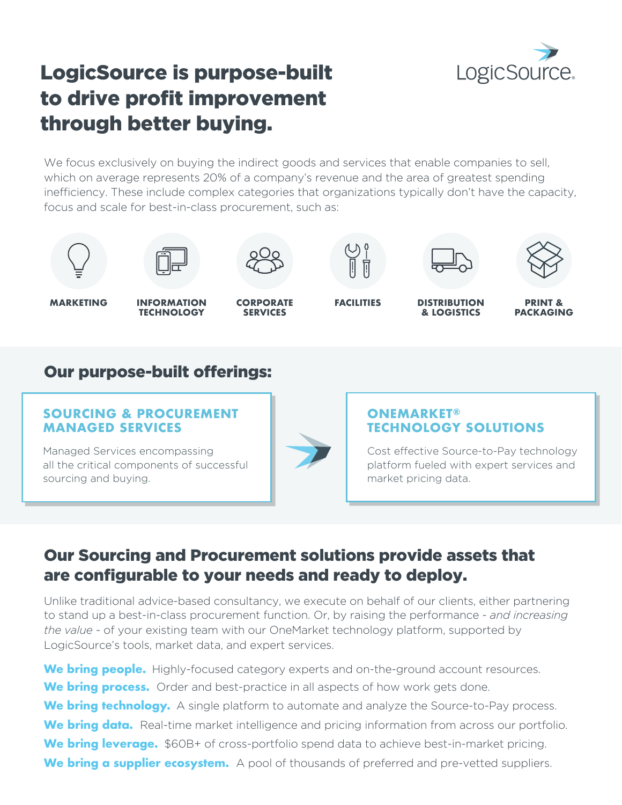

# LogicSource is purpose-built to drive profit improvement through better buying.

We focus exclusively on buying the indirect goods and services that enable companies to sell, which on average represents 20% of a company's revenue and the area of greatest spending inefficiency. These include complex categories that organizations typically don't have the capacity, focus and scale for best-in-class procurement, such as:







**MARKETING INFORMATION**

**TECHNOLOGY**



**SERVICES**







**PRINT & PACKAGING**

### Our purpose-built offerings:

#### **SOURCING & PROCUREMENT MANAGED SERVICES**

all the critical components of successful

Managed Services encompassing

sourcing and buying.

#### **ONEMARKET® TECHNOLOGY SOLUTIONS**

Cost effective Source-to-Pay technology platform fueled with expert services and market pricing data.

### Our Sourcing and Procurement solutions provide assets that are configurable to your needs and ready to deploy.

Unlike traditional advice-based consultancy, we execute on behalf of our clients, either partnering to stand up a best-in-class procurement function. Or, by raising the performance - *and increasing the value* - of your existing team with our OneMarket technology platform, supported by LogicSource's tools, market data, and expert services.

We bring people. Highly-focused category experts and on-the-ground account resources. We **bring process.** Order and best-practice in all aspects of how work gets done. We **bring technology.** A single platform to automate and analyze the Source-to-Pay process. We **bring data.** Real-time market intelligence and pricing information from across our portfolio. **We bring leverage.** \$60B+ of cross-portfolio spend data to achieve best-in-market pricing. **We bring a supplier ecosystem.** A pool of thousands of preferred and pre-vetted suppliers.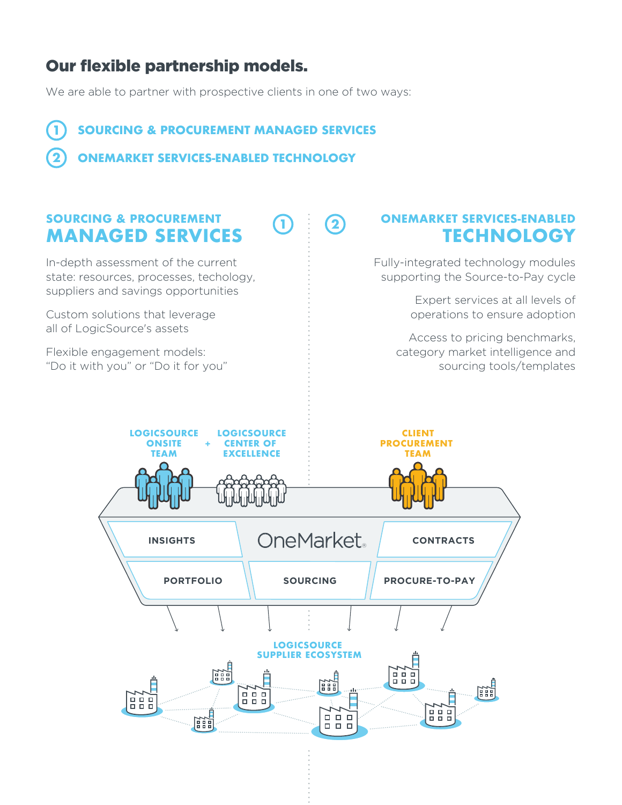## Our flexible partnership models.

We are able to partner with prospective clients in one of two ways:

**SOURCING & PROCUREMENT MANAGED SERVICES 1**

**ONEMARKET SERVICES-ENABLED TECHNOLOGY 2**

### **SOURCING & PROCUREMENT MANAGED SERVICES**

In-depth assessment of the current state: resources, processes, techology, suppliers and savings opportunities

Custom solutions that leverage all of LogicSource's assets

Flexible engagement models: "Do it with you" or "Do it for you" **ONEMARKET SERVICES-ENABLED TECHNOLOGY**

Fully-integrated technology modules supporting the Source-to-Pay cycle

> Expert services at all levels of operations to ensure adoption

Access to pricing benchmarks, category market intelligence and sourcing tools/templates



**1**  $(2)$